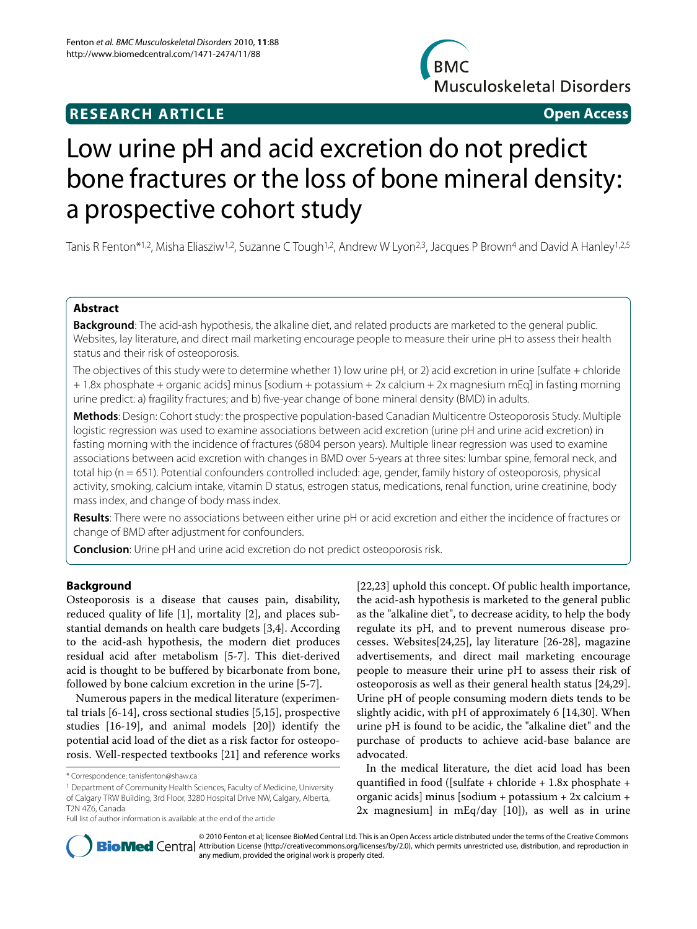## **RESEARCH ARTICLE Open Access**



# Low urine pH and acid excretion do not predict bone fractures or the loss of bone mineral density: a prospective cohort study

Tanis R Fenton\*1,2, Misha Eliasziw1,2, Suzanne C Tough1,2, Andrew W Lyon2,3, Jacques P Brown4 and David A Hanley1,2,5

## **Abstract**

**Background**: The acid-ash hypothesis, the alkaline diet, and related products are marketed to the general public. Websites, lay literature, and direct mail marketing encourage people to measure their urine pH to assess their health status and their risk of osteoporosis.

The objectives of this study were to determine whether 1) low urine pH, or 2) acid excretion in urine [sulfate + chloride + 1.8x phosphate + organic acids] minus [sodium + potassium + 2x calcium + 2x magnesium mEq] in fasting morning urine predict: a) fragility fractures; and b) five-year change of bone mineral density (BMD) in adults.

**Methods**: Design: Cohort study: the prospective population-based Canadian Multicentre Osteoporosis Study. Multiple logistic regression was used to examine associations between acid excretion (urine pH and urine acid excretion) in fasting morning with the incidence of fractures (6804 person years). Multiple linear regression was used to examine associations between acid excretion with changes in BMD over 5-years at three sites: lumbar spine, femoral neck, and total hip (n = 651). Potential confounders controlled included: age, gender, family history of osteoporosis, physical activity, smoking, calcium intake, vitamin D status, estrogen status, medications, renal function, urine creatinine, body mass index, and change of body mass index.

**Results**: There were no associations between either urine pH or acid excretion and either the incidence of fractures or change of BMD after adjustment for confounders.

**Conclusion**: Urine pH and urine acid excretion do not predict osteoporosis risk.

## **Background**

Osteoporosis is a disease that causes pain, disability, reduced quality of life [\[1](#page-6-0)], mortality [\[2](#page-6-1)], and places substantial demands on health care budgets [[3,](#page-6-2)[4\]](#page-6-3). According to the acid-ash hypothesis, the modern diet produces residual acid after metabolism [[5-](#page-6-4)[7\]](#page-6-5). This diet-derived acid is thought to be buffered by bicarbonate from bone, followed by bone calcium excretion in the urine [\[5](#page-6-4)-[7\]](#page-6-5).

Numerous papers in the medical literature (experimental trials [[6-](#page-6-6)[14\]](#page-6-7), cross sectional studies [\[5](#page-6-4)[,15](#page-6-8)], prospective studies [[16-](#page-6-9)[19\]](#page-6-10), and animal models [\[20\]](#page-6-11)) identify the potential acid load of the diet as a risk factor for osteoporosis. Well-respected textbooks [[21](#page-6-12)] and reference works

[[22,](#page-6-13)[23\]](#page-7-0) uphold this concept. Of public health importance, the acid-ash hypothesis is marketed to the general public as the "alkaline diet", to decrease acidity, to help the body regulate its pH, and to prevent numerous disease processes. Websites[[24,](#page-7-1)[25\]](#page-7-2), lay literature [\[26](#page-7-3)[-28](#page-7-4)], magazine advertisements, and direct mail marketing encourage people to measure their urine pH to assess their risk of osteoporosis as well as their general health status [\[24](#page-7-1)[,29](#page-7-5)]. Urine pH of people consuming modern diets tends to be slightly acidic, with pH of approximately 6 [\[14](#page-6-7),[30](#page-7-6)]. When urine pH is found to be acidic, the "alkaline diet" and the purchase of products to achieve acid-base balance are advocated.

In the medical literature, the diet acid load has been quantified in food ([sulfate + chloride + 1.8x phosphate + organic acids] minus [sodium + potassium + 2x calcium + 2x magnesium] in mEq/day [[10](#page-6-14)]), as well as in urine



© 2010 Fenton et al; licensee BioMed Central Ltd. This is an Open Access article distributed under the terms of the Creative Commons **Bio Med** Central Attribution License (http://creativecommons.org/licenses/by/2.0), which permits unrestricted use, distribution, and reproduction in any medium, provided the original work is properly cited.

<sup>\*</sup> Correspondence: tanisfenton@shaw.ca

<sup>1</sup> Department of Community Health Sciences, Faculty of Medicine, University of Calgary TRW Building, 3rd Floor, 3280 Hospital Drive NW, Calgary, Alberta, T2N 4Z6, Canada

Full list of author information is available at the end of the article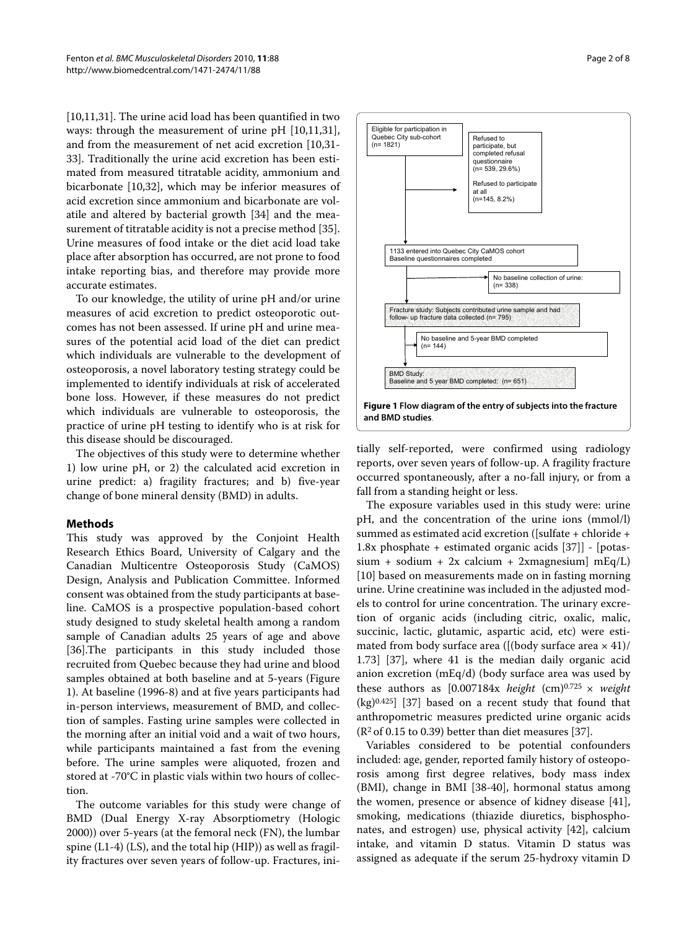[[10,](#page-6-14)[11,](#page-6-15)[31\]](#page-7-7). The urine acid load has been quantified in two ways: through the measurement of urine pH [\[10](#page-6-14)[,11](#page-6-15)[,31](#page-7-7)], and from the measurement of net acid excretion [[10,](#page-6-14)[31-](#page-7-7) [33](#page-7-8)]. Traditionally the urine acid excretion has been estimated from measured titratable acidity, ammonium and bicarbonate [[10,](#page-6-14)[32\]](#page-7-9), which may be inferior measures of acid excretion since ammonium and bicarbonate are volatile and altered by bacterial growth [\[34](#page-7-10)] and the measurement of titratable acidity is not a precise method [\[35](#page-7-11)]. Urine measures of food intake or the diet acid load take place after absorption has occurred, are not prone to food intake reporting bias, and therefore may provide more accurate estimates.

To our knowledge, the utility of urine pH and/or urine measures of acid excretion to predict osteoporotic outcomes has not been assessed. If urine pH and urine measures of the potential acid load of the diet can predict which individuals are vulnerable to the development of osteoporosis, a novel laboratory testing strategy could be implemented to identify individuals at risk of accelerated bone loss. However, if these measures do not predict which individuals are vulnerable to osteoporosis, the practice of urine pH testing to identify who is at risk for this disease should be discouraged.

The objectives of this study were to determine whether 1) low urine pH, or 2) the calculated acid excretion in urine predict: a) fragility fractures; and b) five-year change of bone mineral density (BMD) in adults.

## **Methods**

This study was approved by the Conjoint Health Research Ethics Board, University of Calgary and the Canadian Multicentre Osteoporosis Study (CaMOS) Design, Analysis and Publication Committee. Informed consent was obtained from the study participants at baseline. CaMOS is a prospective population-based cohort study designed to study skeletal health among a random sample of Canadian adults 25 years of age and above [[36\]](#page-7-12).The participants in this study included those recruited from Quebec because they had urine and blood samples obtained at both baseline and at 5-years (Figure [1\)](#page-1-0). At baseline (1996-8) and at five years participants had in-person interviews, measurement of BMD, and collection of samples. Fasting urine samples were collected in the morning after an initial void and a wait of two hours, while participants maintained a fast from the evening before. The urine samples were aliquoted, frozen and stored at -70°C in plastic vials within two hours of collection.

The outcome variables for this study were change of BMD (Dual Energy X-ray Absorptiometry (Hologic 2000)) over 5-years (at the femoral neck (FN), the lumbar spine (L1-4) (LS), and the total hip (HIP)) as well as fragility fractures over seven years of follow-up. Fractures, ini-

<span id="page-1-0"></span>

tially self-reported, were confirmed using radiology reports, over seven years of follow-up. A fragility fracture occurred spontaneously, after a no-fall injury, or from a fall from a standing height or less.

The exposure variables used in this study were: urine pH, and the concentration of the urine ions (mmol/l) summed as estimated acid excretion ([sulfate + chloride + 1.8x phosphate + estimated organic acids [\[37](#page-7-13)]] - [potas $sium + sodium + 2x$  calcium + 2xmagnesium] mEq/L) [[10\]](#page-6-14) based on measurements made on in fasting morning urine. Urine creatinine was included in the adjusted models to control for urine concentration. The urinary excretion of organic acids (including citric, oxalic, malic, succinic, lactic, glutamic, aspartic acid, etc) were estimated from body surface area ( $[(body surface area \times 41)/$ 1.73] [[37\]](#page-7-13), where 41 is the median daily organic acid anion excretion (mEq/d) (body surface area was used by these authors as  $[0.007184x \ height (cm)^{0.725} \times weight$ (kg)0.425] [[37\]](#page-7-13) based on a recent study that found that anthropometric measures predicted urine organic acids  $(R<sup>2</sup>$  of 0.15 to 0.39) better than diet measures [\[37](#page-7-13)].

Variables considered to be potential confounders included: age, gender, reported family history of osteoporosis among first degree relatives, body mass index (BMI), change in BMI [\[38](#page-7-14)[-40](#page-7-15)], hormonal status among the women, presence or absence of kidney disease [\[41](#page-7-16)], smoking, medications (thiazide diuretics, bisphosphonates, and estrogen) use, physical activity [\[42](#page-7-17)], calcium intake, and vitamin D status. Vitamin D status was assigned as adequate if the serum 25-hydroxy vitamin D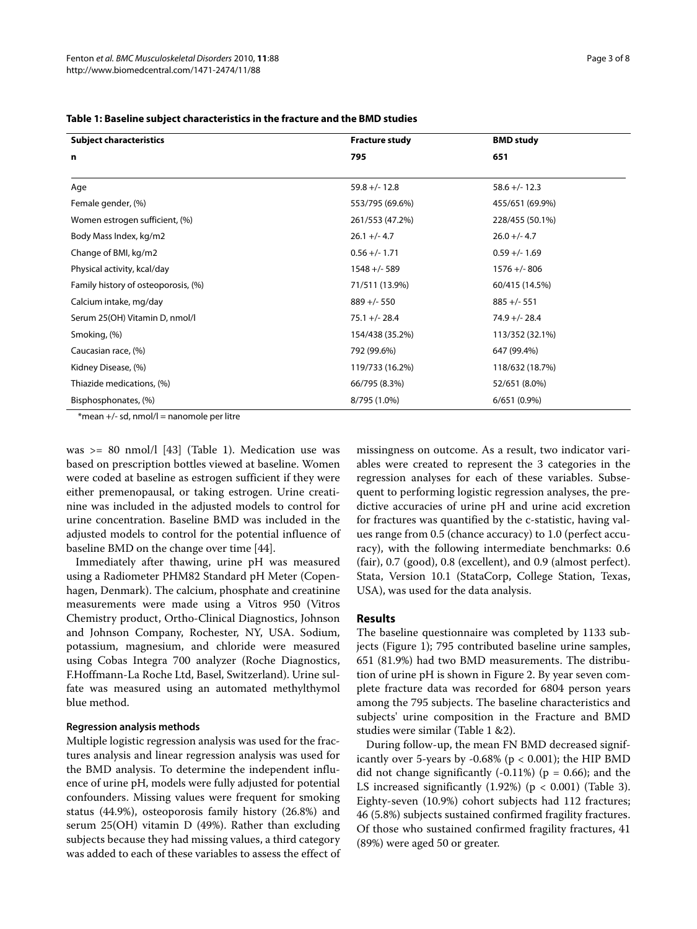| <b>Subject characteristics</b>      | <b>Fracture study</b> | <b>BMD study</b> |
|-------------------------------------|-----------------------|------------------|
| n                                   | 795                   | 651              |
|                                     |                       |                  |
| Age                                 | $59.8 +/- 12.8$       | $58.6 +/- 12.3$  |
| Female gender, (%)                  | 553/795 (69.6%)       | 455/651 (69.9%)  |
| Women estrogen sufficient, (%)      | 261/553 (47.2%)       | 228/455 (50.1%)  |
| Body Mass Index, kg/m2              | $26.1 +/- 4.7$        | $26.0 +/- 4.7$   |
| Change of BMI, kg/m2                | $0.56 +/- 1.71$       | $0.59 +/- 1.69$  |
| Physical activity, kcal/day         | $1548 + (-589)$       | $1576 + (-806$   |
| Family history of osteoporosis, (%) | 71/511 (13.9%)        | 60/415 (14.5%)   |
| Calcium intake, mg/day              | $889 +/- 550$         | $885 +/- 551$    |
| Serum 25(OH) Vitamin D, nmol/l      | $75.1 +/- 28.4$       | $74.9 +/- 28.4$  |
| Smoking, (%)                        | 154/438 (35.2%)       | 113/352 (32.1%)  |
| Caucasian race, (%)                 | 792 (99.6%)           | 647 (99.4%)      |
| Kidney Disease, (%)                 | 119/733 (16.2%)       | 118/632 (18.7%)  |
| Thiazide medications, (%)           | 66/795 (8.3%)         | 52/651 (8.0%)    |
| Bisphosphonates, (%)                | 8/795 (1.0%)          | $6/651(0.9\%)$   |

| Table 1: Baseline subject characteristics in the fracture and the BMD studies |  |  |  |  |
|-------------------------------------------------------------------------------|--|--|--|--|
|-------------------------------------------------------------------------------|--|--|--|--|

 $*$ mean  $+$ /- sd, nmol/l = nanomole per litre

was >= 80 nmol/l [\[43](#page-7-18)] (Table 1). Medication use was based on prescription bottles viewed at baseline. Women were coded at baseline as estrogen sufficient if they were either premenopausal, or taking estrogen. Urine creatinine was included in the adjusted models to control for urine concentration. Baseline BMD was included in the adjusted models to control for the potential influence of baseline BMD on the change over time [\[44](#page-7-19)].

Immediately after thawing, urine pH was measured using a Radiometer PHM82 Standard pH Meter (Copenhagen, Denmark). The calcium, phosphate and creatinine measurements were made using a Vitros 950 (Vitros Chemistry product, Ortho-Clinical Diagnostics, Johnson and Johnson Company, Rochester, NY, USA. Sodium, potassium, magnesium, and chloride were measured using Cobas Integra 700 analyzer (Roche Diagnostics, F.Hoffmann-La Roche Ltd, Basel, Switzerland). Urine sulfate was measured using an automated methylthymol blue method.

## **Regression analysis methods**

Multiple logistic regression analysis was used for the fractures analysis and linear regression analysis was used for the BMD analysis. To determine the independent influence of urine pH, models were fully adjusted for potential confounders. Missing values were frequent for smoking status (44.9%), osteoporosis family history (26.8%) and serum 25(OH) vitamin D (49%). Rather than excluding subjects because they had missing values, a third category was added to each of these variables to assess the effect of missingness on outcome. As a result, two indicator variables were created to represent the 3 categories in the regression analyses for each of these variables. Subsequent to performing logistic regression analyses, the predictive accuracies of urine pH and urine acid excretion for fractures was quantified by the c-statistic, having values range from 0.5 (chance accuracy) to 1.0 (perfect accuracy), with the following intermediate benchmarks: 0.6 (fair), 0.7 (good), 0.8 (excellent), and 0.9 (almost perfect). Stata, Version 10.1 (StataCorp, College Station, Texas, USA), was used for the data analysis.

## **Results**

The baseline questionnaire was completed by 1133 subjects (Figure [1](#page-1-0)); 795 contributed baseline urine samples, 651 (81.9%) had two BMD measurements. The distribution of urine pH is shown in Figure [2.](#page-3-0) By year seven complete fracture data was recorded for 6804 person years among the 795 subjects. The baseline characteristics and subjects' urine composition in the Fracture and BMD studies were similar (Table 1 &2).

During follow-up, the mean FN BMD decreased significantly over 5-years by -0.68% ( $p < 0.001$ ); the HIP BMD did not change significantly  $(-0.11\%)$  ( $p = 0.66$ ); and the LS increased significantly  $(1.92%)$   $(p < 0.001)$  (Table 3). Eighty-seven (10.9%) cohort subjects had 112 fractures; 46 (5.8%) subjects sustained confirmed fragility fractures. Of those who sustained confirmed fragility fractures, 41 (89%) were aged 50 or greater.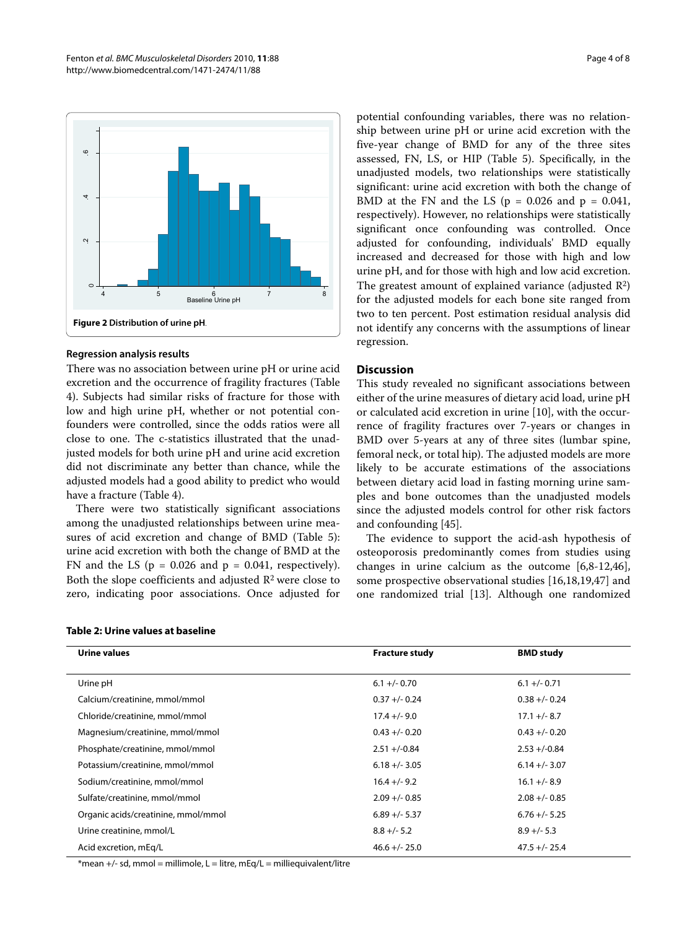<span id="page-3-0"></span>

### **Regression analysis results**

There was no association between urine pH or urine acid excretion and the occurrence of fragility fractures (Table 4). Subjects had similar risks of fracture for those with low and high urine pH, whether or not potential confounders were controlled, since the odds ratios were all close to one. The c-statistics illustrated that the unadjusted models for both urine pH and urine acid excretion did not discriminate any better than chance, while the adjusted models had a good ability to predict who would have a fracture (Table 4).

There were two statistically significant associations among the unadjusted relationships between urine measures of acid excretion and change of BMD (Table 5): urine acid excretion with both the change of BMD at the FN and the LS ( $p = 0.026$  and  $p = 0.041$ , respectively). Both the slope coefficients and adjusted R2 were close to zero, indicating poor associations. Once adjusted for

### **Table 2: Urine values at baseline**

potential confounding variables, there was no relationship between urine pH or urine acid excretion with the five-year change of BMD for any of the three sites assessed, FN, LS, or HIP (Table 5). Specifically, in the unadjusted models, two relationships were statistically significant: urine acid excretion with both the change of BMD at the FN and the LS ( $p = 0.026$  and  $p = 0.041$ , respectively). However, no relationships were statistically significant once confounding was controlled. Once adjusted for confounding, individuals' BMD equally increased and decreased for those with high and low urine pH, and for those with high and low acid excretion. The greatest amount of explained variance (adjusted  $R^2$ ) for the adjusted models for each bone site ranged from two to ten percent. Post estimation residual analysis did not identify any concerns with the assumptions of linear regression.

## **Discussion**

This study revealed no significant associations between either of the urine measures of dietary acid load, urine pH or calculated acid excretion in urine [[10\]](#page-6-14), with the occurrence of fragility fractures over 7-years or changes in BMD over 5-years at any of three sites (lumbar spine, femoral neck, or total hip). The adjusted models are more likely to be accurate estimations of the associations between dietary acid load in fasting morning urine samples and bone outcomes than the unadjusted models since the adjusted models control for other risk factors and confounding [[45](#page-7-20)].

The evidence to support the acid-ash hypothesis of osteoporosis predominantly comes from studies using changes in urine calcium as the outcome [[6,](#page-6-6)[8](#page-6-16)[-12](#page-6-17)[,46](#page-7-21)], some prospective observational studies [\[16](#page-6-9),[18](#page-6-18),[19](#page-6-10),[47\]](#page-7-22) and one randomized trial [[13](#page-6-19)]. Although one randomized

| Urine values                        | <b>Fracture study</b> | <b>BMD study</b> |
|-------------------------------------|-----------------------|------------------|
|                                     |                       |                  |
| Urine pH                            | $6.1 +/- 0.70$        | $6.1 +/- 0.71$   |
| Calcium/creatinine, mmol/mmol       | $0.37 +/- 0.24$       | $0.38 + -0.24$   |
| Chloride/creatinine, mmol/mmol      | $17.4 +/- 9.0$        | $17.1 +/- 8.7$   |
| Magnesium/creatinine, mmol/mmol     | $0.43 + (-0.20)$      | $0.43 + (-0.20)$ |
| Phosphate/creatinine, mmol/mmol     | $2.51 + (-0.84)$      | $2.53 + (-0.84)$ |
| Potassium/creatinine, mmol/mmol     | $6.18 +/- 3.05$       | $6.14 +/- 3.07$  |
| Sodium/creatinine, mmol/mmol        | $16.4 +/- 9.2$        | $16.1 +/- 8.9$   |
| Sulfate/creatinine, mmol/mmol       | $2.09 +/- 0.85$       | $2.08 + -0.85$   |
| Organic acids/creatinine, mmol/mmol | $6.89 +/- 5.37$       | $6.76 +/- 5.25$  |
| Urine creatinine, mmol/L            | $8.8 +/- 5.2$         | $8.9 +/- 5.3$    |
| Acid excretion, mEq/L               | $46.6 +/- 25.0$       | $47.5 +/- 25.4$  |

\*mean +/- sd, mmol = millimole, L = litre, mEq/L = milliequivalent/litre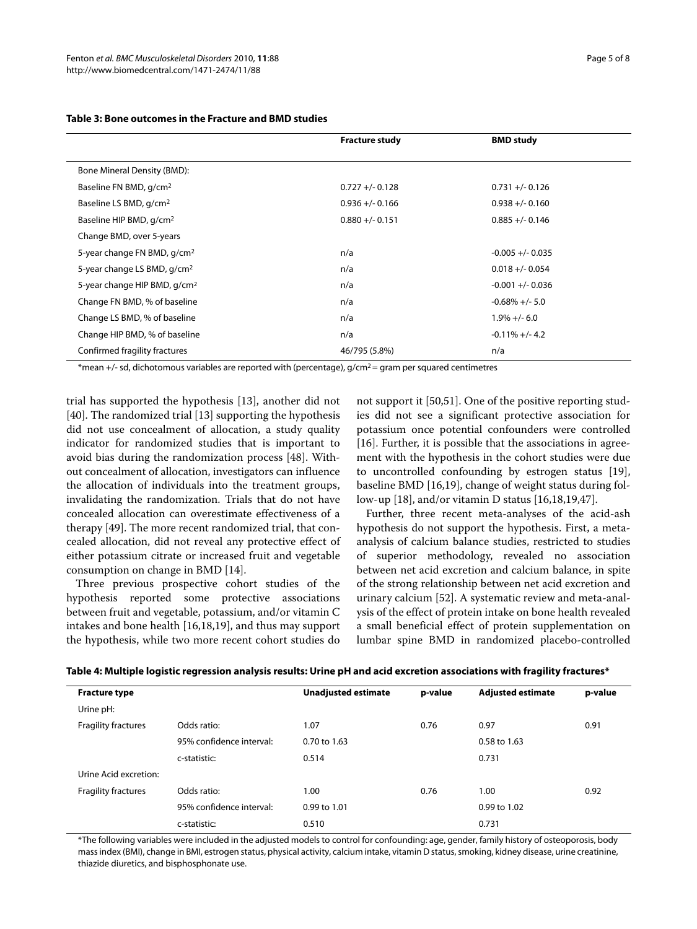|                                          | <b>Fracture study</b> | <b>BMD</b> study    |
|------------------------------------------|-----------------------|---------------------|
|                                          |                       |                     |
| Bone Mineral Density (BMD):              |                       |                     |
| Baseline FN BMD, g/cm <sup>2</sup>       | $0.727 + (-0.128)$    | $0.731 +/- 0.126$   |
| Baseline LS BMD, g/cm <sup>2</sup>       | $0.936 +/- 0.166$     | $0.938 +/- 0.160$   |
| Baseline HIP BMD, g/cm <sup>2</sup>      | $0.880 +/- 0.151$     | $0.885 +/- 0.146$   |
| Change BMD, over 5-years                 |                       |                     |
| 5-year change FN BMD, g/cm <sup>2</sup>  | n/a                   | $-0.005 + (-0.035)$ |
| 5-year change LS BMD, g/cm <sup>2</sup>  | n/a                   | $0.018 + (-0.054)$  |
| 5-year change HIP BMD, g/cm <sup>2</sup> | n/a                   | $-0.001 + (-0.036)$ |
| Change FN BMD, % of baseline             | n/a                   | $-0.68\% + (-5.0)$  |
| Change LS BMD, % of baseline             | n/a                   | $1.9\% +/- 6.0$     |
| Change HIP BMD, % of baseline            | n/a                   | $-0.11\% + (-4.2)$  |
| Confirmed fragility fractures            | 46/795 (5.8%)         | n/a                 |

## **Table 3: Bone outcomes in the Fracture and BMD studies**

\*mean +/- sd, dichotomous variables are reported with (percentage),  $q/cm^2$  = gram per squared centimetres

trial has supported the hypothesis [[13\]](#page-6-19), another did not [[40\]](#page-7-15). The randomized trial [\[13](#page-6-19)] supporting the hypothesis did not use concealment of allocation, a study quality indicator for randomized studies that is important to avoid bias during the randomization process [[48\]](#page-7-23). Without concealment of allocation, investigators can influence the allocation of individuals into the treatment groups, invalidating the randomization. Trials that do not have concealed allocation can overestimate effectiveness of a therapy [[49\]](#page-7-24). The more recent randomized trial, that concealed allocation, did not reveal any protective effect of either potassium citrate or increased fruit and vegetable consumption on change in BMD [\[14](#page-6-7)].

Three previous prospective cohort studies of the hypothesis reported some protective associations between fruit and vegetable, potassium, and/or vitamin C intakes and bone health [[16](#page-6-9),[18](#page-6-18),[19\]](#page-6-10), and thus may support the hypothesis, while two more recent cohort studies do not support it [[50,](#page-7-25)[51\]](#page-7-26). One of the positive reporting studies did not see a significant protective association for potassium once potential confounders were controlled [[16\]](#page-6-9). Further, it is possible that the associations in agreement with the hypothesis in the cohort studies were due to uncontrolled confounding by estrogen status [\[19](#page-6-10)], baseline BMD [[16,](#page-6-9)[19\]](#page-6-10), change of weight status during follow-up [\[18](#page-6-18)], and/or vitamin D status [\[16](#page-6-9)[,18](#page-6-18)[,19](#page-6-10),[47](#page-7-22)].

Further, three recent meta-analyses of the acid-ash hypothesis do not support the hypothesis. First, a metaanalysis of calcium balance studies, restricted to studies of superior methodology, revealed no association between net acid excretion and calcium balance, in spite of the strong relationship between net acid excretion and urinary calcium [\[52\]](#page-7-27). A systematic review and meta-analysis of the effect of protein intake on bone health revealed a small beneficial effect of protein supplementation on lumbar spine BMD in randomized placebo-controlled

| Table 4: Multiple logistic regression analysis results: Urine pH and acid excretion associations with fragility fractures* |  |  |
|----------------------------------------------------------------------------------------------------------------------------|--|--|
|                                                                                                                            |  |  |

| <b>Fracture type</b>       |                          | <b>Unadjusted estimate</b> | p-value | <b>Adjusted estimate</b> | p-value |
|----------------------------|--------------------------|----------------------------|---------|--------------------------|---------|
| Urine pH:                  |                          |                            |         |                          |         |
| <b>Fragility fractures</b> | Odds ratio:              | 1.07                       | 0.76    | 0.97                     | 0.91    |
|                            | 95% confidence interval: | $0.70$ to $1.63$           |         | 0.58 to 1.63             |         |
|                            | c-statistic:             | 0.514                      |         | 0.731                    |         |
| Urine Acid excretion:      |                          |                            |         |                          |         |
| <b>Fragility fractures</b> | Odds ratio:              | 1.00                       | 0.76    | 1.00                     | 0.92    |
|                            | 95% confidence interval: | $0.99$ to $1.01$           |         | 0.99 to 1.02             |         |
|                            | c-statistic:             | 0.510                      |         | 0.731                    |         |

\*The following variables were included in the adjusted models to control for confounding: age, gender, family history of osteoporosis, body mass index (BMI), change in BMI, estrogen status, physical activity, calcium intake, vitamin D status, smoking, kidney disease, urine creatinine, thiazide diuretics, and bisphosphonate use.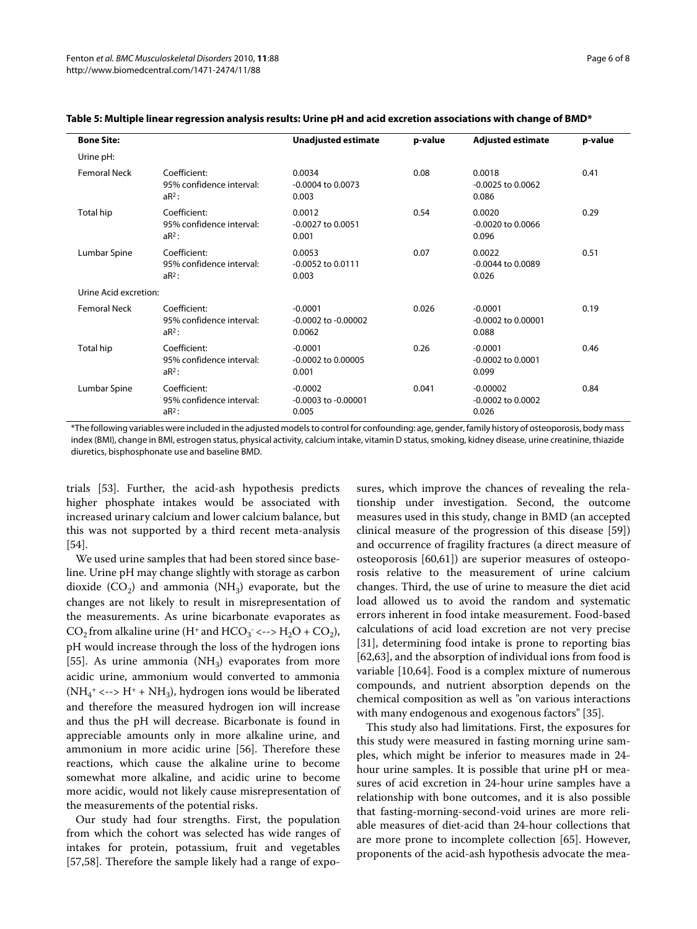| <b>Bone Site:</b>     |                                                      | <b>Unadjusted estimate</b>                     | p-value | <b>Adjusted estimate</b>                     | p-value |  |
|-----------------------|------------------------------------------------------|------------------------------------------------|---------|----------------------------------------------|---------|--|
| Urine pH:             |                                                      |                                                |         |                                              |         |  |
| <b>Femoral Neck</b>   | Coefficient:<br>95% confidence interval:<br>$aR^2$ : | 0.0034<br>$-0.0004$ to 0.0073<br>0.003         | 0.08    | 0.0018<br>$-0.0025$ to $0.0062$<br>0.086     | 0.41    |  |
| Total hip             | Coefficient:<br>95% confidence interval:<br>$aR^2$ : | 0.0012<br>$-0.0027$ to $0.0051$<br>0.001       | 0.54    | 0.0020<br>$-0.0020$ to 0.0066<br>0.096       | 0.29    |  |
| Lumbar Spine          | Coefficient:<br>95% confidence interval:<br>$aR^2$ : | 0.0053<br>-0.0052 to 0.0111<br>0.003           | 0.07    | 0.0022<br>$-0.0044$ to $0.0089$<br>0.026     | 0.51    |  |
| Urine Acid excretion: |                                                      |                                                |         |                                              |         |  |
| <b>Femoral Neck</b>   | Coefficient:<br>95% confidence interval:<br>$aR^2$ : | $-0.0001$<br>$-0.0002$ to $-0.00002$<br>0.0062 | 0.026   | $-0.0001$<br>$-0.0002$ to $0.00001$<br>0.088 | 0.19    |  |
| Total hip             | Coefficient:<br>95% confidence interval:<br>$aR^2$ : | $-0.0001$<br>$-0.0002$ to $0.00005$<br>0.001   | 0.26    | $-0.0001$<br>$-0.0002$ to $0.0001$<br>0.099  | 0.46    |  |
| Lumbar Spine          | Coefficient:<br>95% confidence interval:<br>$aR^2$ : | $-0.0002$<br>$-0.0003$ to $-0.00001$<br>0.005  | 0.041   | $-0.00002$<br>$-0.0002$ to $0.0002$<br>0.026 | 0.84    |  |

## **Table 5: Multiple linear regression analysis results: Urine pH and acid excretion associations with change of BMD\***

\*The following variables were included in the adjusted models to control for confounding: age, gender, family history of osteoporosis, body mass index (BMI), change in BMI, estrogen status, physical activity, calcium intake, vitamin D status, smoking, kidney disease, urine creatinine, thiazide diuretics, bisphosphonate use and baseline BMD.

trials [[53\]](#page-7-28). Further, the acid-ash hypothesis predicts higher phosphate intakes would be associated with increased urinary calcium and lower calcium balance, but this was not supported by a third recent meta-analysis [[54\]](#page-7-29).

We used urine samples that had been stored since baseline. Urine pH may change slightly with storage as carbon dioxide  $(CO<sub>2</sub>)$  and ammonia  $(NH<sub>3</sub>)$  evaporate, but the changes are not likely to result in misrepresentation of the measurements. As urine bicarbonate evaporates as CO<sub>2</sub> from alkaline urine (H<sup>+</sup> and HCO<sub>3</sub><sup>-</sup> <--> H<sub>2</sub>O + CO<sub>2</sub>), pH would increase through the loss of the hydrogen ions [[55\]](#page-7-30). As urine ammonia  $(NH<sub>3</sub>)$  evaporates from more acidic urine, ammonium would converted to ammonia  $(NH_4^+ \leftarrow > H^+ + NH_3)$ , hydrogen ions would be liberated and therefore the measured hydrogen ion will increase and thus the pH will decrease. Bicarbonate is found in appreciable amounts only in more alkaline urine, and ammonium in more acidic urine [[56](#page-7-31)]. Therefore these reactions, which cause the alkaline urine to become somewhat more alkaline, and acidic urine to become more acidic, would not likely cause misrepresentation of the measurements of the potential risks.

Our study had four strengths. First, the population from which the cohort was selected has wide ranges of intakes for protein, potassium, fruit and vegetables [[57,](#page-7-32)[58\]](#page-7-33). Therefore the sample likely had a range of expo-

sures, which improve the chances of revealing the relationship under investigation. Second, the outcome measures used in this study, change in BMD (an accepted clinical measure of the progression of this disease [\[59](#page-7-34)]) and occurrence of fragility fractures (a direct measure of osteoporosis [\[60](#page-7-35)[,61](#page-7-36)]) are superior measures of osteoporosis relative to the measurement of urine calcium changes. Third, the use of urine to measure the diet acid load allowed us to avoid the random and systematic errors inherent in food intake measurement. Food-based calculations of acid load excretion are not very precise [[31\]](#page-7-7), determining food intake is prone to reporting bias [[62,](#page-7-37)[63\]](#page-7-38), and the absorption of individual ions from food is variable [[10,](#page-6-14)[64\]](#page-7-39). Food is a complex mixture of numerous compounds, and nutrient absorption depends on the chemical composition as well as "on various interactions with many endogenous and exogenous factors" [[35\]](#page-7-11).

This study also had limitations. First, the exposures for this study were measured in fasting morning urine samples, which might be inferior to measures made in 24 hour urine samples. It is possible that urine pH or measures of acid excretion in 24-hour urine samples have a relationship with bone outcomes, and it is also possible that fasting-morning-second-void urines are more reliable measures of diet-acid than 24-hour collections that are more prone to incomplete collection [\[65](#page-7-40)]. However, proponents of the acid-ash hypothesis advocate the mea-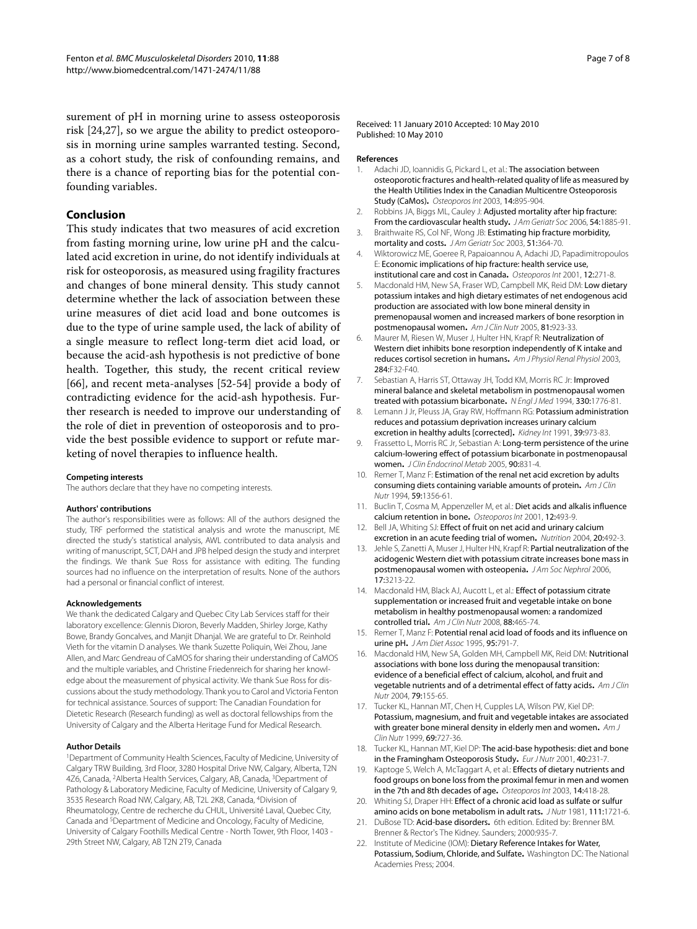surement of pH in morning urine to assess osteoporosis risk [[24,](#page-7-1)[27\]](#page-7-41), so we argue the ability to predict osteoporosis in morning urine samples warranted testing. Second, as a cohort study, the risk of confounding remains, and there is a chance of reporting bias for the potential confounding variables.

## **Conclusion**

This study indicates that two measures of acid excretion from fasting morning urine, low urine pH and the calculated acid excretion in urine, do not identify individuals at risk for osteoporosis, as measured using fragility fractures and changes of bone mineral density. This study cannot determine whether the lack of association between these urine measures of diet acid load and bone outcomes is due to the type of urine sample used, the lack of ability of a single measure to reflect long-term diet acid load, or because the acid-ash hypothesis is not predictive of bone health. Together, this study, the recent critical review [[66\]](#page-7-42), and recent meta-analyses [[52](#page-7-27)-[54\]](#page-7-29) provide a body of contradicting evidence for the acid-ash hypothesis. Further research is needed to improve our understanding of the role of diet in prevention of osteoporosis and to provide the best possible evidence to support or refute marketing of novel therapies to influence health.

#### **Competing interests**

The authors declare that they have no competing interests.

#### **Authors' contributions**

The author's responsibilities were as follows: All of the authors designed the study, TRF performed the statistical analysis and wrote the manuscript, ME directed the study's statistical analysis, AWL contributed to data analysis and writing of manuscript, SCT, DAH and JPB helped design the study and interpret the findings. We thank Sue Ross for assistance with editing. The funding sources had no influence on the interpretation of results. None of the authors had a personal or financial conflict of interest.

### **Acknowledgements**

We thank the dedicated Calgary and Quebec City Lab Services staff for their laboratory excellence: Glennis Dioron, Beverly Madden, Shirley Jorge, Kathy Bowe, Brandy Goncalves, and Manjit Dhanjal. We are grateful to Dr. Reinhold Vieth for the vitamin D analyses. We thank Suzette Poliquin, Wei Zhou, Jane Allen, and Marc Gendreau of CaMOS for sharing their understanding of CaMOS and the multiple variables, and Christine Friedenreich for sharing her knowledge about the measurement of physical activity. We thank Sue Ross for discussions about the study methodology. Thank you to Carol and Victoria Fenton for technical assistance. Sources of support: The Canadian Foundation for Dietetic Research (Research funding) as well as doctoral fellowships from the University of Calgary and the Alberta Heritage Fund for Medical Research.

#### **Author Details**

1Department of Community Health Sciences, Faculty of Medicine, University of Calgary TRW Building, 3rd Floor, 3280 Hospital Drive NW, Calgary, Alberta, T2N 4Z6, Canada, 2Alberta Health Services, Calgary, AB, Canada, 3Department of Pathology & Laboratory Medicine, Faculty of Medicine, University of Calgary 9, 3535 Research Road NW, Calgary, AB, T2L 2K8, Canada, 4Division of Rheumatology, Centre de recherche du CHUL, Université Laval, Quebec City, Canada and 5Department of Medicine and Oncology, Faculty of Medicine, University of Calgary Foothills Medical Centre - North Tower, 9th Floor, 1403 - 29th Street NW, Calgary, AB T2N 2T9, Canada

Received: 11 January 2010 Accepted: 10 May 2010 Published: 10 May 2010

#### **References**

- <span id="page-6-0"></span>1. Adachi JD, Ioannidis G, Pickard L, et al.: The association between osteoporotic fractures and health-related quality of life as measured by the Health Utilities Index in the Canadian Multicentre Osteoporosis Study (CaMos)**.** Osteoporos Int 2003, 14:895-904.
- <span id="page-6-1"></span>2. Robbins JA, Biggs ML, Cauley J: Adjusted mortality after hip fracture: From the cardiovascular health study**.** J Am Geriatr Soc 2006, 54:1885-91.
- <span id="page-6-2"></span>3. Braithwaite RS, Col NF, Wong JB: Estimating hip fracture morbidity, mortality and costs**[.](http://www.ncbi.nlm.nih.gov/entrez/query.fcgi?cmd=Retrieve&db=PubMed&dopt=Abstract&list_uids=12588580)** J Am Geriatr Soc 2003, 51:364-70.
- <span id="page-6-3"></span>4. Wiktorowicz ME, Goeree R, Papaioannou A, Adachi JD, Papadimitropoulos E: Economic implications of hip fracture: health service use, institutional care and cost in Canada**.** Osteoporos Int 2001, 12:271-8.
- <span id="page-6-4"></span>5. Macdonald HM, New SA, Fraser WD, Campbell MK, Reid DM: Low dietary potassium intakes and high dietary estimates of net endogenous acid production are associated with low bone mineral density in premenopausal women and increased markers of bone resorption in postmenopausal women**[.](http://www.ncbi.nlm.nih.gov/entrez/query.fcgi?cmd=Retrieve&db=PubMed&dopt=Abstract&list_uids=15817873)** Am J Clin Nutr 2005, 81:923-33.
- <span id="page-6-6"></span>6. Maurer M, Riesen W, Muser J, Hulter HN, Krapf R: Neutralization of Western diet inhibits bone resorption independently of K intake and reduces cortisol secretion in humans**.** Am J Physiol Renal Physiol 2003, 284:F32-F40.
- <span id="page-6-5"></span>7. Sebastian A, Harris ST, Ottaway JH, Todd KM, Morris RC Jr: Improved mineral balance and skeletal metabolism in postmenopausal women treated with potassium bicarbonate**.** N Engl J Med 1994, 330:1776-81.
- <span id="page-6-16"></span>8. Lemann J Jr, Pleuss JA, Gray RW, Hoffmann RG: Potassium administration reduces and potassium deprivation increases urinary calcium excretion in healthy adults [corrected]**.** Kidney Int 1991, 39:973-83.
- 9. Frassetto L, Morris RC Jr, Sebastian A: Long-term persistence of the urine calcium-lowering effect of potassium bicarbonate in postmenopausal women**[.](http://www.ncbi.nlm.nih.gov/entrez/query.fcgi?cmd=Retrieve&db=PubMed&dopt=Abstract&list_uids=15572425)** J Clin Endocrinol Metab 2005, 90:831-4.
- <span id="page-6-14"></span>10. Remer T, Manz F: Estimation of the renal net acid excretion by adults consuming diets containing variable amounts of protein**.** Am J Clin Nutr 1994, 59:1356-61.
- <span id="page-6-15"></span>11. Buclin T, Cosma M, Appenzeller M, et al.: Diet acids and alkalis influence calcium retention in bone**.** Osteoporos Int 2001, 12:493-9.
- <span id="page-6-17"></span>12. Bell JA, Whiting SJ: Effect of fruit on net acid and urinary calcium excretion in an acute feeding trial of women**.** Nutrition 2004, 20:492-3.
- <span id="page-6-19"></span>13. Jehle S, Zanetti A, Muser J, Hulter HN, Krapf R: Partial neutralization of the acidogenic Western diet with potassium citrate increases bone mass in postmenopausal women with osteopenia**[.](http://www.ncbi.nlm.nih.gov/entrez/query.fcgi?cmd=Retrieve&db=PubMed&dopt=Abstract&list_uids=17035614)** J Am Soc Nephrol 2006, 17:3213-22.
- <span id="page-6-7"></span>14. Macdonald HM, Black AJ, Aucott L, et al.: Effect of potassium citrate supplementation or increased fruit and vegetable intake on bone metabolism in healthy postmenopausal women: a randomized controlled trial**[.](http://www.ncbi.nlm.nih.gov/entrez/query.fcgi?cmd=Retrieve&db=PubMed&dopt=Abstract&list_uids=18689384)** Am J Clin Nutr 2008, 88:465-74.
- <span id="page-6-8"></span>15. Remer T, Manz F: Potential renal acid load of foods and its influence on urine pH**.** J Am Diet Assoc 1995, 95:791-7.
- <span id="page-6-9"></span>16. Macdonald HM, New SA, Golden MH, Campbell MK, Reid DM: Nutritional associations with bone loss during the menopausal transition: evidence of a beneficial effect of calcium, alcohol, and fruit and vegetable nutrients and of a detrimental effect of fatty acids**.** Am J Clin Nutr 2004, 79:155-65.
- 17. Tucker KL, Hannan MT, Chen H, Cupples LA, Wilson PW, Kiel DP: Potassium, magnesium, and fruit and vegetable intakes are associated with greater bone mineral density in elderly men and women**[.](http://www.ncbi.nlm.nih.gov/entrez/query.fcgi?cmd=Retrieve&db=PubMed&dopt=Abstract&list_uids=10197575)** Am J Clin Nutr 1999, 69:727-36.
- <span id="page-6-18"></span>18. Tucker KL, Hannan MT, Kiel DP: The acid-base hypothesis: diet and bone in the Framingham Osteoporosis Study**.** Eur J Nutr 2001, 40:231-7.
- <span id="page-6-10"></span>19. Kaptoge S, Welch A, McTaggart A, et al.: Effects of dietary nutrients and food groups on bone loss from the proximal femur in men and women in the 7th and 8th decades of age**.** Osteoporos Int 2003, 14:418-28.
- <span id="page-6-11"></span>20. Whiting SJ, Draper HH: Effect of a chronic acid load as sulfate or sulfur amino acids on bone metabolism in adult rats**.** J Nutr 1981, 111:1721-6.
- <span id="page-6-12"></span>21. DuBose TD: Acid-base disorders**.** 6th edition. Edited by: Brenner BM. Brenner & Rector's The Kidney. Saunders; 2000:935-7.
- <span id="page-6-13"></span>22. Institute of Medicine (IOM): Dietary Reference Intakes for Water, Potassium, Sodium, Chloride, and Sulfate**.** Washington DC: The National Academies Press; 2004.